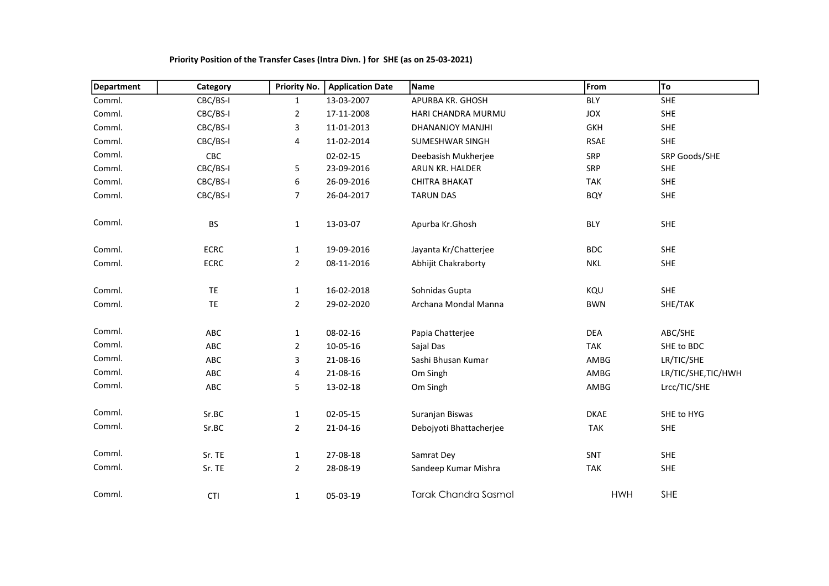| <b>Department</b> | Category    | <b>Priority No.</b> | <b>Application Date</b> | Name                        | From        | To                  |
|-------------------|-------------|---------------------|-------------------------|-----------------------------|-------------|---------------------|
| Comml.            | CBC/BS-I    | $\mathbf{1}$        | 13-03-2007              | APURBA KR. GHOSH            | <b>BLY</b>  | SHE                 |
| Comml.            | CBC/BS-I    | $\overline{2}$      | 17-11-2008              | HARI CHANDRA MURMU          | JOX         | <b>SHE</b>          |
| Comml.            | CBC/BS-I    | 3                   | 11-01-2013              | DHANANJOY MANJHI            | <b>GKH</b>  | SHE                 |
| Comml.            | CBC/BS-I    | 4                   | 11-02-2014              | <b>SUMESHWAR SINGH</b>      | <b>RSAE</b> | <b>SHE</b>          |
| Comml.            | CBC         |                     | 02-02-15                | Deebasish Mukherjee         | SRP         | SRP Goods/SHE       |
| Comml.            | CBC/BS-I    | 5                   | 23-09-2016              | ARUN KR. HALDER             | SRP         | SHE                 |
| Comml.            | CBC/BS-I    | 6                   | 26-09-2016              | <b>CHITRA BHAKAT</b>        | <b>TAK</b>  | <b>SHE</b>          |
| Comml.            | CBC/BS-I    | $\overline{7}$      | 26-04-2017              | <b>TARUN DAS</b>            | <b>BQY</b>  | SHE                 |
| Comml.            | <b>BS</b>   | $\mathbf{1}$        | 13-03-07                | Apurba Kr.Ghosh             | <b>BLY</b>  | <b>SHE</b>          |
| Comml.            | <b>ECRC</b> | $\mathbf{1}$        | 19-09-2016              | Jayanta Kr/Chatterjee       | <b>BDC</b>  | <b>SHE</b>          |
| Comml.            | <b>ECRC</b> | $\overline{2}$      | 08-11-2016              | Abhijit Chakraborty         | <b>NKL</b>  | <b>SHE</b>          |
| Comml.            | <b>TE</b>   | 1                   | 16-02-2018              | Sohnidas Gupta              | KQU         | <b>SHE</b>          |
| Comml.            | TE.         | $\overline{2}$      | 29-02-2020              | Archana Mondal Manna        | <b>BWN</b>  | SHE/TAK             |
| Comml.            | ABC         | $\mathbf{1}$        | 08-02-16                | Papia Chatterjee            | <b>DEA</b>  | ABC/SHE             |
| Comml.            | ABC         | $\overline{2}$      | 10-05-16                | Sajal Das                   | <b>TAK</b>  | SHE to BDC          |
| Comml.            | ABC         | 3                   | 21-08-16                | Sashi Bhusan Kumar          | AMBG        | LR/TIC/SHE          |
| Comml.            | ABC         | 4                   | 21-08-16                | Om Singh                    | AMBG        | LR/TIC/SHE, TIC/HWH |
| Comml.            | ABC         | 5                   | 13-02-18                | Om Singh                    | AMBG        | Lrcc/TIC/SHE        |
| Comml.            | Sr.BC       | 1                   | 02-05-15                | Suranjan Biswas             | <b>DKAE</b> | SHE to HYG          |
| Comml.            | Sr.BC       | $\overline{2}$      | 21-04-16                | Debojyoti Bhattacherjee     | <b>TAK</b>  | <b>SHE</b>          |
| Comml.            | Sr. TE      | $\mathbf{1}$        | 27-08-18                | Samrat Dey                  | SNT         | <b>SHE</b>          |
| Comml.            | Sr. TE      | $\overline{2}$      | 28-08-19                | Sandeep Kumar Mishra        | <b>TAK</b>  | SHE                 |
| Comml.            | <b>CTI</b>  | $\mathbf{1}$        | 05-03-19                | <b>Tarak Chandra Sasmal</b> | <b>HWH</b>  | SHE                 |

## Priority Position of the Transfer Cases (Intra Divn. ) for SHE (as on 25-03-2021)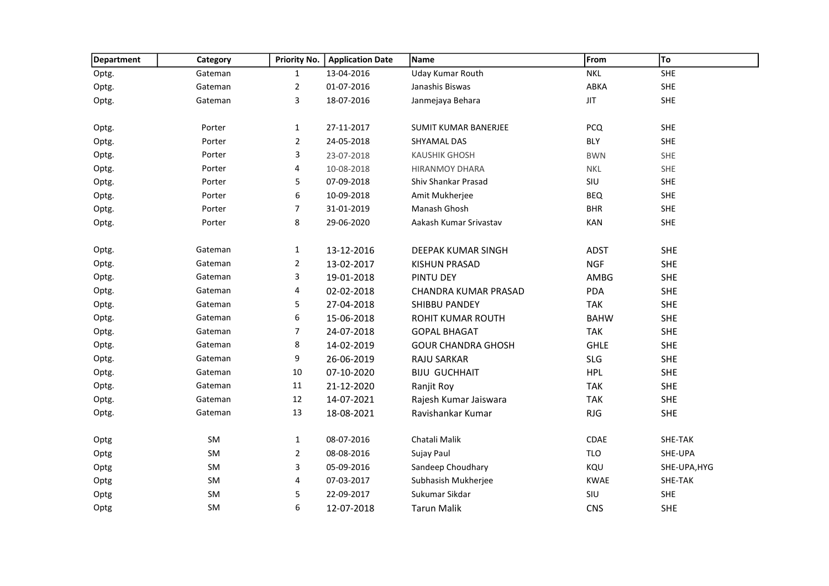| Department | Category | Priority No.   | <b>Application Date</b> | Name                      | From        | To           |
|------------|----------|----------------|-------------------------|---------------------------|-------------|--------------|
| Optg.      | Gateman  | $\mathbf{1}$   | 13-04-2016              | Uday Kumar Routh          | <b>NKL</b>  | <b>SHE</b>   |
| Optg.      | Gateman  | $\overline{2}$ | 01-07-2016              | Janashis Biswas           | ABKA        | <b>SHE</b>   |
| Optg.      | Gateman  | 3              | 18-07-2016              | Janmejaya Behara          | <b>JIT</b>  | <b>SHE</b>   |
|            |          |                |                         |                           |             |              |
| Optg.      | Porter   | $\mathbf{1}$   | 27-11-2017              | SUMIT KUMAR BANERJEE      | <b>PCQ</b>  | <b>SHE</b>   |
| Optg.      | Porter   | $\overline{2}$ | 24-05-2018              | SHYAMAL DAS               | <b>BLY</b>  | <b>SHE</b>   |
| Optg.      | Porter   | 3              | 23-07-2018              | <b>KAUSHIK GHOSH</b>      | <b>BWN</b>  | SHE          |
| Optg.      | Porter   | 4              | 10-08-2018              | <b>HIRANMOY DHARA</b>     | <b>NKL</b>  | <b>SHE</b>   |
| Optg.      | Porter   | 5              | 07-09-2018              | Shiv Shankar Prasad       | SIU         | <b>SHE</b>   |
| Optg.      | Porter   | 6              | 10-09-2018              | Amit Mukherjee            | <b>BEQ</b>  | SHE          |
| Optg.      | Porter   | $\overline{7}$ | 31-01-2019              | Manash Ghosh              | <b>BHR</b>  | <b>SHE</b>   |
| Optg.      | Porter   | 8              | 29-06-2020              | Aakash Kumar Srivastav    | <b>KAN</b>  | SHE          |
|            |          |                |                         |                           |             |              |
| Optg.      | Gateman  | $\mathbf{1}$   | 13-12-2016              | DEEPAK KUMAR SINGH        | <b>ADST</b> | <b>SHE</b>   |
| Optg.      | Gateman  | $\overline{2}$ | 13-02-2017              | KISHUN PRASAD             | <b>NGF</b>  | <b>SHE</b>   |
| Optg.      | Gateman  | 3              | 19-01-2018              | PINTU DEY                 | AMBG        | <b>SHE</b>   |
| Optg.      | Gateman  | 4              | 02-02-2018              | CHANDRA KUMAR PRASAD      | PDA         | <b>SHE</b>   |
| Optg.      | Gateman  | 5              | 27-04-2018              | <b>SHIBBU PANDEY</b>      | <b>TAK</b>  | <b>SHE</b>   |
| Optg.      | Gateman  | 6              | 15-06-2018              | ROHIT KUMAR ROUTH         | <b>BAHW</b> | <b>SHE</b>   |
| Optg.      | Gateman  | 7              | 24-07-2018              | <b>GOPAL BHAGAT</b>       | <b>TAK</b>  | <b>SHE</b>   |
| Optg.      | Gateman  | 8              | 14-02-2019              | <b>GOUR CHANDRA GHOSH</b> | <b>GHLE</b> | <b>SHE</b>   |
| Optg.      | Gateman  | 9              | 26-06-2019              | <b>RAJU SARKAR</b>        | <b>SLG</b>  | <b>SHE</b>   |
| Optg.      | Gateman  | $10\,$         | 07-10-2020              | <b>BIJU GUCHHAIT</b>      | <b>HPL</b>  | <b>SHE</b>   |
| Optg.      | Gateman  | 11             | 21-12-2020              | Ranjit Roy                | <b>TAK</b>  | <b>SHE</b>   |
| Optg.      | Gateman  | 12             | 14-07-2021              | Rajesh Kumar Jaiswara     | <b>TAK</b>  | <b>SHE</b>   |
| Optg.      | Gateman  | 13             | 18-08-2021              | Ravishankar Kumar         | <b>RJG</b>  | <b>SHE</b>   |
|            |          |                |                         |                           |             |              |
| Optg       | SM       | $\mathbf{1}$   | 08-07-2016              | Chatali Malik             | CDAE        | SHE-TAK      |
| Optg       | SM       | $\overline{2}$ | 08-08-2016              | Sujay Paul                | TLO         | SHE-UPA      |
| Optg       | SM       | 3              | 05-09-2016              | Sandeep Choudhary         | KQU         | SHE-UPA, HYG |
| Optg       | SM       | 4              | 07-03-2017              | Subhasish Mukherjee       | <b>KWAE</b> | SHE-TAK      |
| Optg       | SM       | 5              | 22-09-2017              | Sukumar Sikdar            | SIU         | <b>SHE</b>   |
| Optg       | SM       | 6              | 12-07-2018              | <b>Tarun Malik</b>        | <b>CNS</b>  | <b>SHE</b>   |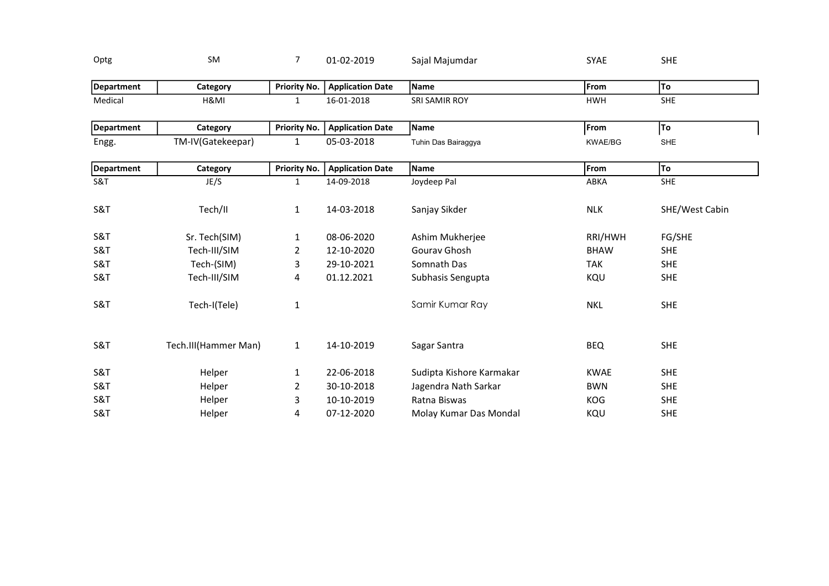| Optg              | <b>SM</b>            | $\overline{7}$      | 01-02-2019              | Sajal Majumdar           | <b>SYAE</b>    | <b>SHE</b>     |
|-------------------|----------------------|---------------------|-------------------------|--------------------------|----------------|----------------|
| <b>Department</b> | Category             | <b>Priority No.</b> | <b>Application Date</b> | Name                     | From           | To             |
| Medical           | H&MI                 | $\mathbf{1}$        | 16-01-2018              | SRI SAMIR ROY            | <b>HWH</b>     | <b>SHE</b>     |
| <b>Department</b> | Category             | Priority No.        | <b>Application Date</b> | Name                     | From           | To             |
| Engg.             | TM-IV(Gatekeepar)    | $\mathbf{1}$        | 05-03-2018              | Tuhin Das Bairaggya      | <b>KWAE/BG</b> | <b>SHE</b>     |
| <b>Department</b> | Category             | <b>Priority No.</b> | <b>Application Date</b> | Name                     | From           | To             |
| S&T               | JE/S                 | $\mathbf{1}$        | 14-09-2018              | Joydeep Pal              | ABKA           | <b>SHE</b>     |
| S&T               | Tech/II              | $\mathbf{1}$        | 14-03-2018              | Sanjay Sikder            | <b>NLK</b>     | SHE/West Cabin |
| S&T               | Sr. Tech(SIM)        | $\mathbf{1}$        | 08-06-2020              | Ashim Mukherjee          | RRI/HWH        | FG/SHE         |
| S&T               | Tech-III/SIM         | $\overline{2}$      | 12-10-2020              | Gourav Ghosh             | <b>BHAW</b>    | <b>SHE</b>     |
| S&T               | Tech-(SIM)           | 3                   | 29-10-2021              | Somnath Das              | <b>TAK</b>     | <b>SHE</b>     |
| S&T               | Tech-III/SIM         | 4                   | 01.12.2021              | Subhasis Sengupta        | KQU            | <b>SHE</b>     |
| S&T               | Tech-I(Tele)         | $\mathbf{1}$        |                         | Samir Kumar Ray          | <b>NKL</b>     | <b>SHE</b>     |
| S&T               | Tech.III(Hammer Man) | $\mathbf{1}$        | 14-10-2019              | Sagar Santra             | <b>BEQ</b>     | <b>SHE</b>     |
| S&T               | Helper               | $\mathbf{1}$        | 22-06-2018              | Sudipta Kishore Karmakar | <b>KWAE</b>    | <b>SHE</b>     |
| S&T               | Helper               | $\overline{2}$      | 30-10-2018              | Jagendra Nath Sarkar     | <b>BWN</b>     | <b>SHE</b>     |
| S&T               | Helper               | 3                   | 10-10-2019              | Ratna Biswas             | KOG            | <b>SHE</b>     |
| S&T               | Helper               | 4                   | 07-12-2020              | Molay Kumar Das Mondal   | KQU            | <b>SHE</b>     |